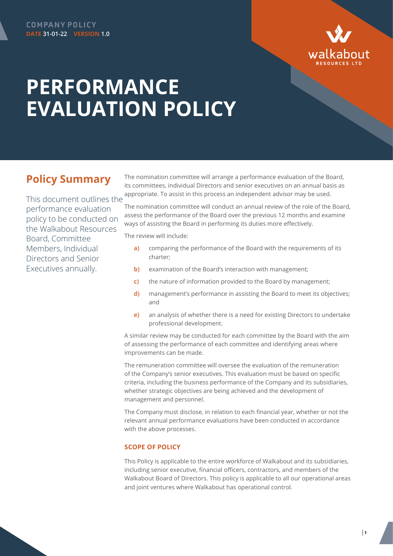

## **PERFORMANCE EVALUATION POLICY**

## **Policy Summary**

This document outlines the performance evaluation policy to be conducted on the Walkabout Resources Board, Committee Members, Individual Directors and Senior Executives annually.

The nomination committee will arrange a performance evaluation of the Board, its committees, individual Directors and senior executives on an annual basis as appropriate. To assist in this process an independent advisor may be used.

The nomination committee will conduct an annual review of the role of the Board, assess the performance of the Board over the previous 12 months and examine ways of assisting the Board in performing its duties more effectively.

The review will include:

- **a)** comparing the performance of the Board with the requirements of its charter;
- **b)** examination of the Board's interaction with management;
- **c)** the nature of information provided to the Board by management;
- **d)** management's performance in assisting the Board to meet its objectives; and
- **e)** an analysis of whether there is a need for existing Directors to undertake professional development.

A similar review may be conducted for each committee by the Board with the aim of assessing the performance of each committee and identifying areas where improvements can be made.

The remuneration committee will oversee the evaluation of the remuneration of the Company's senior executives. This evaluation must be based on specific criteria, including the business performance of the Company and its subsidiaries, whether strategic objectives are being achieved and the development of management and personnel.

The Company must disclose, in relation to each financial year, whether or not the relevant annual performance evaluations have been conducted in accordance with the above processes.

## **SCOPE OF POLICY**

This Policy is applicable to the entire workforce of Walkabout and its subsidiaries, including senior executive, financial officers, contractors, and members of the Walkabout Board of Directors. This policy is applicable to all our operational areas and joint ventures where Walkabout has operational control.